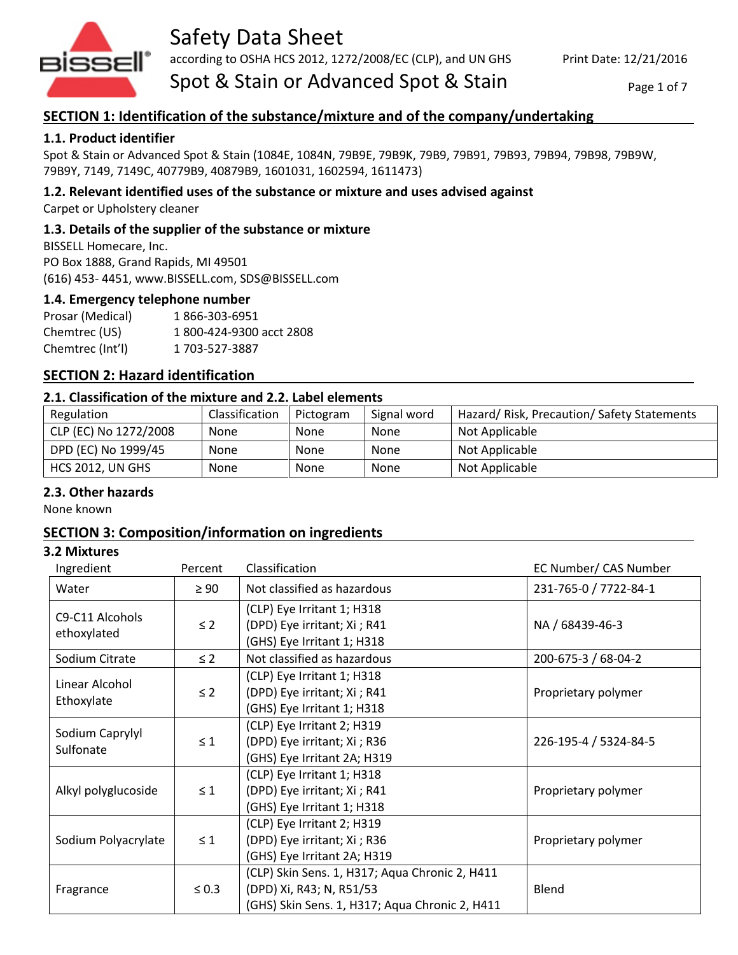

# Safety Data Sheet

according to OSHA HCS 2012, 1272/2008/EC (CLP), and UN GHS

Spot & Stain or Advanced Spot & Stain

Page 1 of 7

# **SECTION 1: Identification of the substance/mixture and of the company/undertaking**

# **1.1. Product identifier**

Spot & Stain or Advanced Spot & Stain (1084E, 1084N, 79B9E, 79B9K, 79B9, 79B91, 79B93, 79B94, 79B98, 79B9W, 79B9Y, 7149, 7149C, 40779B9, 40879B9, 1601031, 1602594, 1611473)

# **1.2. Relevant identified uses of the substance or mixture and uses advised against**

Carpet or Upholstery cleaner

## **1.3. Details of the supplier of the substance or mixture**

BISSELL Homecare, Inc. PO Box 1888, Grand Rapids, MI 49501 (616) 453- 4451, www.BISSELL.com, SDS@BISSELL.com

### **1.4. Emergency telephone number**

Prosar (Medical) 1 866-303-6951 Chemtrec (US) 1 800-424-9300 acct 2808 Chemtrec (Int'l) 1 703-527-3887

# **SECTION 2: Hazard identification**

#### **2.1. Classification of the mixture and 2.2. Label elements**

| Regulation              | Classification | Pictogram   | Signal word | Hazard/ Risk, Precaution/ Safety Statements |
|-------------------------|----------------|-------------|-------------|---------------------------------------------|
| CLP (EC) No 1272/2008   | <b>None</b>    | <b>None</b> | <b>None</b> | Not Applicable                              |
| DPD (EC) No 1999/45     | <b>None</b>    | <b>None</b> | <b>None</b> | Not Applicable                              |
| <b>HCS 2012, UN GHS</b> | None           | <b>None</b> | None        | Not Applicable                              |

### **2.3. Other hazards**

None known

# **SECTION 3: Composition/information on ingredients**

#### **3.2 Mixtures**

| Ingredient                     | Percent    | Classification                                                                                                               | EC Number/ CAS Number |
|--------------------------------|------------|------------------------------------------------------------------------------------------------------------------------------|-----------------------|
| Water                          | $\geq 90$  | Not classified as hazardous                                                                                                  | 231-765-0 / 7722-84-1 |
| C9-C11 Alcohols<br>ethoxylated | $\leq$ 2   | (CLP) Eye Irritant 1; H318<br>(DPD) Eye irritant; Xi ; R41<br>(GHS) Eye Irritant 1; H318                                     | NA / 68439-46-3       |
| Sodium Citrate                 | $\leq$ 2   | Not classified as hazardous                                                                                                  | 200-675-3 / 68-04-2   |
| Linear Alcohol<br>Ethoxylate   | $\leq$ 2   | (CLP) Eye Irritant 1; H318<br>(DPD) Eye irritant; Xi ; R41<br>(GHS) Eye Irritant 1; H318                                     | Proprietary polymer   |
| Sodium Caprylyl<br>Sulfonate   | $\leq 1$   | (CLP) Eye Irritant 2; H319<br>(DPD) Eye irritant; Xi ; R36<br>(GHS) Eye Irritant 2A; H319                                    | 226-195-4 / 5324-84-5 |
| Alkyl polyglucoside            | $\leq 1$   | (CLP) Eye Irritant 1; H318<br>(DPD) Eye irritant; Xi ; R41<br>(GHS) Eye Irritant 1; H318                                     | Proprietary polymer   |
| Sodium Polyacrylate            | $\leq 1$   | (CLP) Eye Irritant 2; H319<br>(DPD) Eye irritant; Xi ; R36<br>(GHS) Eye Irritant 2A; H319                                    | Proprietary polymer   |
| Fragrance                      | $\leq 0.3$ | (CLP) Skin Sens. 1, H317; Aqua Chronic 2, H411<br>(DPD) Xi, R43; N, R51/53<br>(GHS) Skin Sens. 1, H317; Aqua Chronic 2, H411 | Blend                 |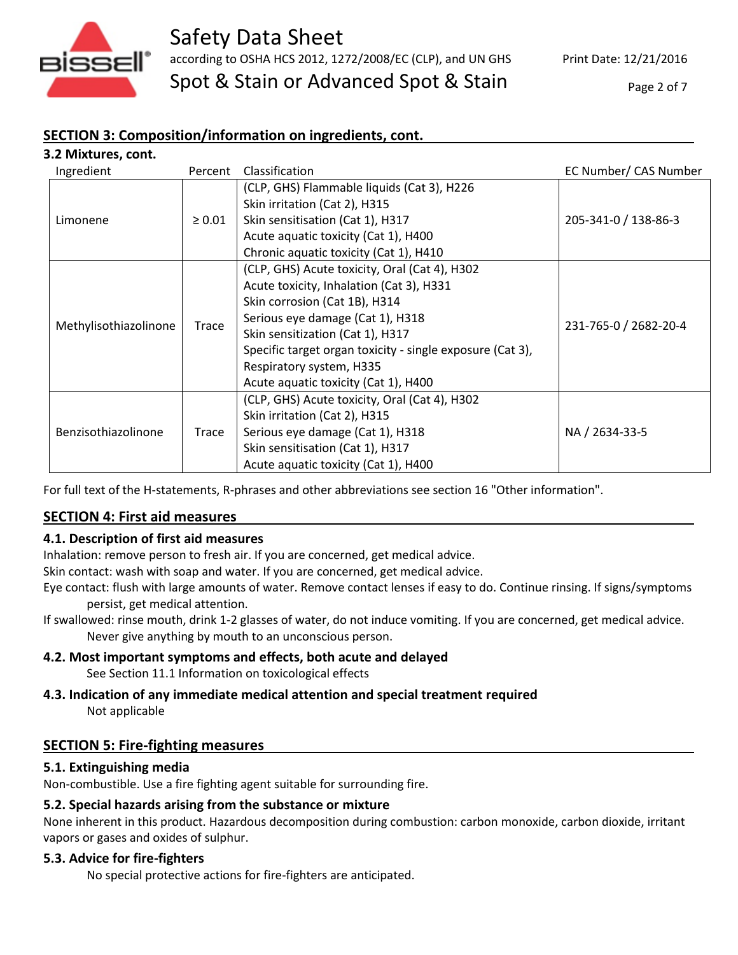

# Safety Data Sheet according to OSHA HCS 2012, 1272/2008/EC (CLP), and UN GHS Spot & Stain or Advanced Spot & Stain

Print Date: 12/21/2016

Page 2 of 7

# **SECTION 3: Composition/information on ingredients, cont.**

| 3.2 Mixtures, cont.   |             |                                                           |                       |
|-----------------------|-------------|-----------------------------------------------------------|-----------------------|
| Ingredient            | Percent     | Classification                                            | EC Number/ CAS Number |
| Limonene              | $\geq 0.01$ | (CLP, GHS) Flammable liquids (Cat 3), H226                |                       |
|                       |             | Skin irritation (Cat 2), H315                             | 205-341-0 / 138-86-3  |
|                       |             | Skin sensitisation (Cat 1), H317                          |                       |
|                       |             | Acute aquatic toxicity (Cat 1), H400                      |                       |
|                       |             | Chronic aquatic toxicity (Cat 1), H410                    |                       |
| Methylisothiazolinone | Trace       | (CLP, GHS) Acute toxicity, Oral (Cat 4), H302             |                       |
|                       |             | Acute toxicity, Inhalation (Cat 3), H331                  |                       |
|                       |             | Skin corrosion (Cat 1B), H314                             | 231-765-0 / 2682-20-4 |
|                       |             | Serious eye damage (Cat 1), H318                          |                       |
|                       |             | Skin sensitization (Cat 1), H317                          |                       |
|                       |             | Specific target organ toxicity - single exposure (Cat 3), |                       |
|                       |             | Respiratory system, H335                                  |                       |
|                       |             | Acute aquatic toxicity (Cat 1), H400                      |                       |
| Benzisothiazolinone   | Trace       | (CLP, GHS) Acute toxicity, Oral (Cat 4), H302             |                       |
|                       |             | Skin irritation (Cat 2), H315                             | NA / 2634-33-5        |
|                       |             | Serious eye damage (Cat 1), H318                          |                       |
|                       |             | Skin sensitisation (Cat 1), H317                          |                       |
|                       |             | Acute aquatic toxicity (Cat 1), H400                      |                       |

For full text of the H-statements, R-phrases and other abbreviations see section 16 "Other information".

# **SECTION 4: First aid measures**

# **4.1. Description of first aid measures**

Inhalation: remove person to fresh air. If you are concerned, get medical advice.

Skin contact: wash with soap and water. If you are concerned, get medical advice.

Eye contact: flush with large amounts of water. Remove contact lenses if easy to do. Continue rinsing. If signs/symptoms persist, get medical attention.

If swallowed: rinse mouth, drink 1-2 glasses of water, do not induce vomiting. If you are concerned, get medical advice. Never give anything by mouth to an unconscious person.

# **4.2. Most important symptoms and effects, both acute and delayed**

See Section 11.1 Information on toxicological effects

# **4.3. Indication of any immediate medical attention and special treatment required** Not applicable

# **SECTION 5: Fire-fighting measures**

### **5.1. Extinguishing media**

Non-combustible. Use a fire fighting agent suitable for surrounding fire.

### **5.2. Special hazards arising from the substance or mixture**

None inherent in this product. Hazardous decomposition during combustion: carbon monoxide, carbon dioxide, irritant vapors or gases and oxides of sulphur.

### **5.3. Advice for fire-fighters**

No special protective actions for fire-fighters are anticipated.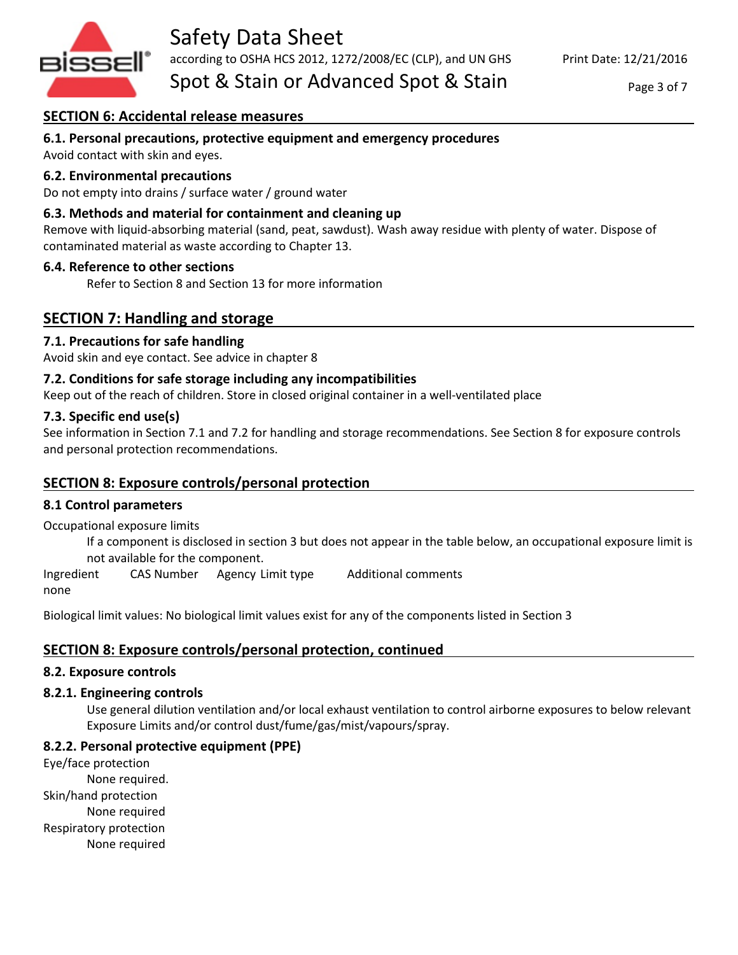

# **SECTION 6: Accidental release measures**

## **6.1. Personal precautions, protective equipment and emergency procedures**

Avoid contact with skin and eyes.

#### **6.2. Environmental precautions**

Do not empty into drains / surface water / ground water

#### **6.3. Methods and material for containment and cleaning up**

Remove with liquid-absorbing material (sand, peat, sawdust). Wash away residue with plenty of water. Dispose of contaminated material as waste according to Chapter 13.

#### **6.4. Reference to other sections**

Refer to Section 8 and Section 13 for more information

# **SECTION 7: Handling and storage**

#### **7.1. Precautions for safe handling**

Avoid skin and eye contact. See advice in chapter 8

#### **7.2. Conditions for safe storage including any incompatibilities**

Keep out of the reach of children. Store in closed original container in a well-ventilated place

#### **7.3. Specific end use(s)**

See information in Section 7.1 and 7.2 for handling and storage recommendations. See Section 8 for exposure controls and personal protection recommendations.

### **SECTION 8: Exposure controls/personal protection**

#### **8.1 Control parameters**

Occupational exposure limits

If a component is disclosed in section 3 but does not appear in the table below, an occupational exposure limit is not available for the component.

Ingredient CAS Number Agency Limit type Additional comments none

Biological limit values: No biological limit values exist for any of the components listed in Section 3

### **SECTION 8: Exposure controls/personal protection, continued**

#### **8.2. Exposure controls**

#### **8.2.1. Engineering controls**

Use general dilution ventilation and/or local exhaust ventilation to control airborne exposures to below relevant Exposure Limits and/or control dust/fume/gas/mist/vapours/spray.

#### **8.2.2. Personal protective equipment (PPE)**

Eye/face protection None required. Skin/hand protection None required Respiratory protection None required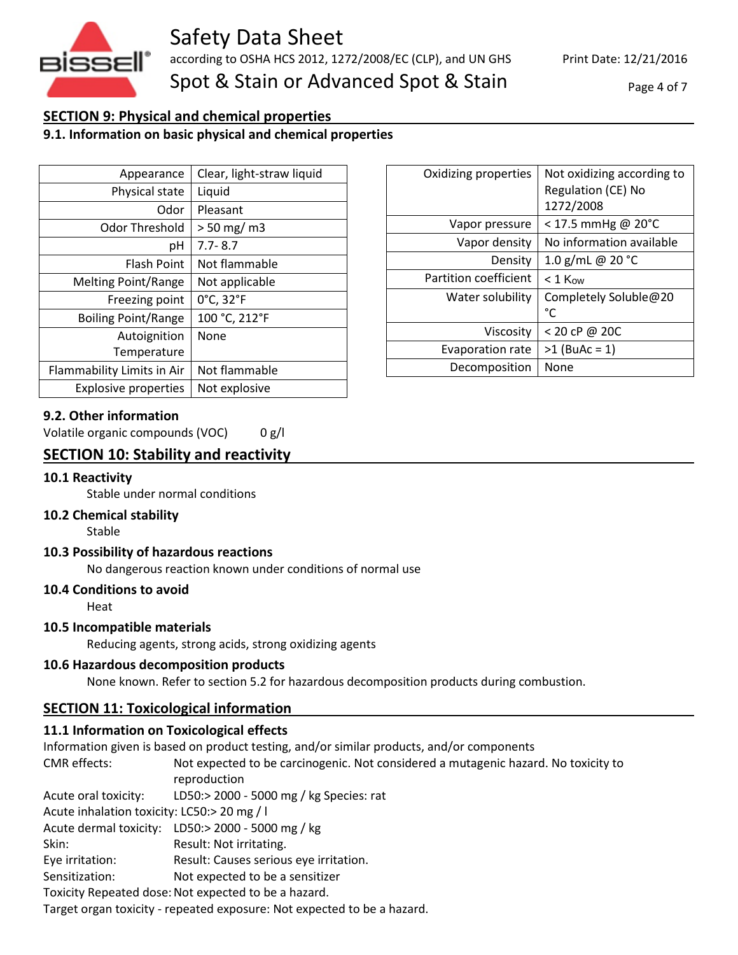

Page 4 of 7

# **SECTION 9: Physical and chemical properties**

# **9.1. Information on basic physical and chemical properties**

| Appearance                  | Clear, light-straw liquid |
|-----------------------------|---------------------------|
| Physical state              | Liquid                    |
| Odor                        | Pleasant                  |
| Odor Threshold              | $> 50$ mg/m3              |
| рH                          | $7.7 - 8.7$               |
| <b>Flash Point</b>          | Not flammable             |
| <b>Melting Point/Range</b>  | Not applicable            |
| Freezing point              | 0°C, 32°F                 |
| <b>Boiling Point/Range</b>  | 100 °C, 212°F             |
| Autoignition                | None                      |
| Temperature                 |                           |
| Flammability Limits in Air  | Not flammable             |
| <b>Explosive properties</b> | Not explosive             |

#### **9.2. Other information**

Volatile organic compounds (VOC) 0 g/l

# **SECTION 10: Stability and reactivity**

#### **10.1 Reactivity**

Stable under normal conditions

#### **10.2 Chemical stability**

Stable

#### **10.3 Possibility of hazardous reactions**

No dangerous reaction known under conditions of normal use

#### **10.4 Conditions to avoid**

Heat

#### **10.5 Incompatible materials**

Reducing agents, strong acids, strong oxidizing agents

#### **10.6 Hazardous decomposition products**

None known. Refer to section 5.2 for hazardous decomposition products during combustion.

# **SECTION 11: Toxicological information**

### **11.1 Information on Toxicological effects**

Information given is based on product testing, and/or similar products, and/or components CMR effects: Not expected to be carcinogenic. Not considered a mutagenic hazard. No toxicity to reproduction Acute oral toxicity: LD50:> 2000 - 5000 mg / kg Species: rat Acute inhalation toxicity: LC50:> 20 mg / l Acute dermal toxicity: LD50:> 2000 - 5000 mg / kg Skin: Result: Not irritating. Eye irritation: Result: Causes serious eye irritation. Sensitization: Not expected to be a sensitizer Toxicity Repeated dose: Not expected to be a hazard. Target organ toxicity - repeated exposure: Not expected to be a hazard.

| Oxidizing properties    | Not oxidizing according to<br>Regulation (CE) No<br>1272/2008 |
|-------------------------|---------------------------------------------------------------|
| Vapor pressure          | $<$ 17.5 mmHg @ 20°C                                          |
| Vapor density           | No information available                                      |
| Density                 | 1.0 g/mL @ 20 °C                                              |
| Partition coefficient   | $< 1$ Kow                                                     |
| Water solubility        | Completely Soluble@20<br>°C                                   |
| Viscosity               | $<$ 20 cP @ 20C                                               |
| <b>Evaporation rate</b> | $>1$ (BuAc = 1)                                               |
| Decomposition           | None                                                          |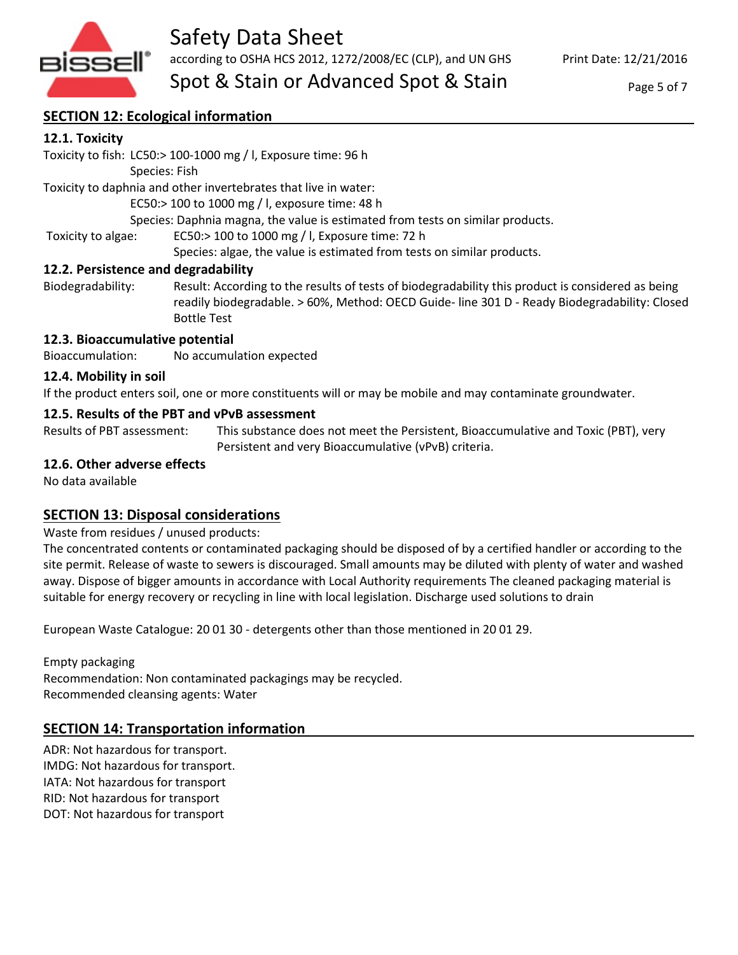

# Safety Data Sheet according to OSHA HCS 2012, 1272/2008/EC (CLP), and UN GHS

Spot & Stain or Advanced Spot & Stain

Page 5 of 7

# **SECTION 12: Ecological information**

# **12.1. Toxicity**

Toxicity to fish: LC50:> 100-1000 mg / l, Exposure time: 96 h

Species: Fish

Toxicity to daphnia and other invertebrates that live in water:

EC50:> 100 to 1000 mg / l, exposure time: 48 h

Species: Daphnia magna, the value is estimated from tests on similar products.

Toxicity to algae: EC50:> 100 to 1000 mg / l, Exposure time: 72 h

Species: algae, the value is estimated from tests on similar products.

### **12.2. Persistence and degradability**

Biodegradability: Result: According to the results of tests of biodegradability this product is considered as being readily biodegradable. > 60%, Method: OECD Guide- line 301 D - Ready Biodegradability: Closed Bottle Test

### **12.3. Bioaccumulative potential**

Bioaccumulation: No accumulation expected

# **12.4. Mobility in soil**

If the product enters soil, one or more constituents will or may be mobile and may contaminate groundwater.

# **12.5. Results of the PBT and vPvB assessment**

Results of PBT assessment: This substance does not meet the Persistent, Bioaccumulative and Toxic (PBT), very Persistent and very Bioaccumulative (vPvB) criteria.

# **12.6. Other adverse effects**

No data available

# **SECTION 13: Disposal considerations**

Waste from residues / unused products:

The concentrated contents or contaminated packaging should be disposed of by a certified handler or according to the site permit. Release of waste to sewers is discouraged. Small amounts may be diluted with plenty of water and washed away. Dispose of bigger amounts in accordance with Local Authority requirements The cleaned packaging material is suitable for energy recovery or recycling in line with local legislation. Discharge used solutions to drain

European Waste Catalogue: 20 01 30 - detergents other than those mentioned in 20 01 29.

Empty packaging Recommendation: Non contaminated packagings may be recycled. Recommended cleansing agents: Water

# **SECTION 14: Transportation information**

ADR: Not hazardous for transport. IMDG: Not hazardous for transport. IATA: Not hazardous for transport RID: Not hazardous for transport DOT: Not hazardous for transport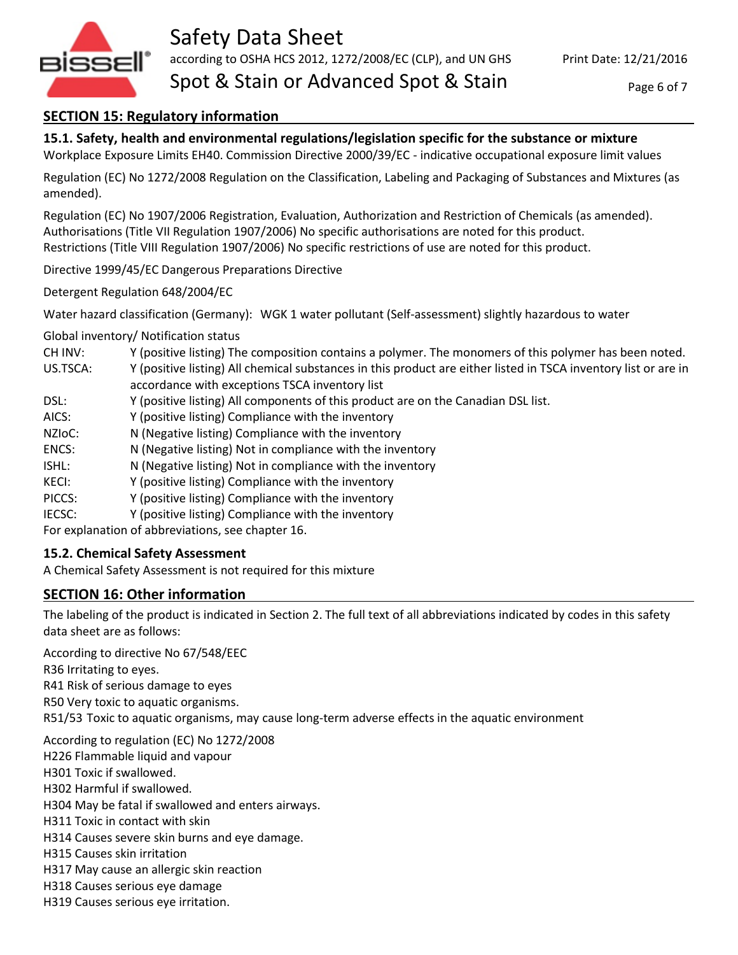

# **SECTION 15: Regulatory information**

**15.1. Safety, health and environmental regulations/legislation specific for the substance or mixture** Workplace Exposure Limits EH40. Commission Directive 2000/39/EC - indicative occupational exposure limit values

Regulation (EC) No 1272/2008 Regulation on the Classification, Labeling and Packaging of Substances and Mixtures (as amended).

Regulation (EC) No 1907/2006 Registration, Evaluation, Authorization and Restriction of Chemicals (as amended). Authorisations (Title VII Regulation 1907/2006) No specific authorisations are noted for this product. Restrictions (Title VIII Regulation 1907/2006) No specific restrictions of use are noted for this product.

Directive 1999/45/EC Dangerous Preparations Directive

Detergent Regulation 648/2004/EC

Water hazard classification (Germany): WGK 1 water pollutant (Self-assessment) slightly hazardous to water

Global inventory/ Notification status

CH INV: Y (positive listing) The composition contains a polymer. The monomers of this polymer has been noted.

US.TSCA: Y (positive listing) All chemical substances in this product are either listed in TSCA inventory list or are in accordance with exceptions TSCA inventory list

- DSL: Y (positive listing) All components of this product are on the Canadian DSL list.
- AICS: Y (positive listing) Compliance with the inventory
- NZIoC: N (Negative listing) Compliance with the inventory
- ENCS: N (Negative listing) Not in compliance with the inventory
- ISHL: N (Negative listing) Not in compliance with the inventory
- KECI: Y (positive listing) Compliance with the inventory
- PICCS: Y (positive listing) Compliance with the inventory
- IECSC: Y (positive listing) Compliance with the inventory

For explanation of abbreviations, see chapter 16.

# **15.2. Chemical Safety Assessment**

A Chemical Safety Assessment is not required for this mixture

# **SECTION 16: Other information**

The labeling of the product is indicated in Section 2. The full text of all abbreviations indicated by codes in this safety data sheet are as follows:

According to directive No 67/548/EEC R36 Irritating to eyes. R41 Risk of serious damage to eyes

R50 Very toxic to aquatic organisms.

R51/53 Toxic to aquatic organisms, may cause long-term adverse effects in the aquatic environment

According to regulation (EC) No 1272/2008 H226 Flammable liquid and vapour H301 Toxic if swallowed. H302 Harmful if swallowed. H304 May be fatal if swallowed and enters airways. H311 Toxic in contact with skin H314 Causes severe skin burns and eye damage. H315 Causes skin irritation H317 May cause an allergic skin reaction H318 Causes serious eye damage

H319 Causes serious eye irritation.